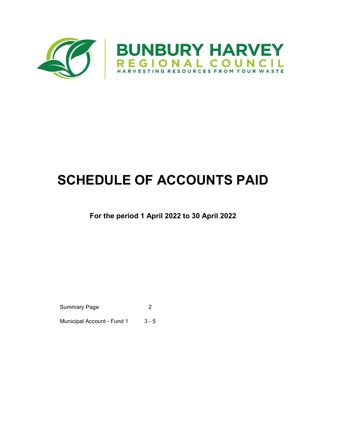

# SCHEDULE OF ACCOUNTS PAID

### For the period 1 April 2022 to 30 April 2022

Summary Page 2

Municipal Account - Fund 1 3 - 5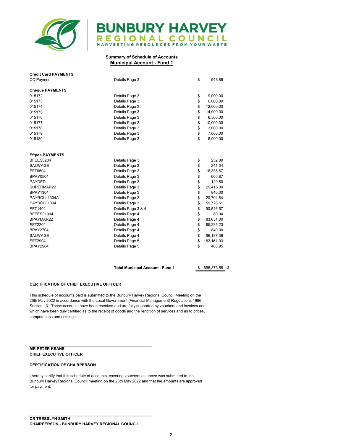

## **BUNBURY HARVEY** REGIONAL COUNCIL

#### Summary of Schedule of Accounts Municipal Account - Fund 1

| <b>Credit Card PAYMENTS</b> |                    |    |            |
|-----------------------------|--------------------|----|------------|
| <b>CC Payment</b>           | Details Page 3     |    |            |
| <b>Cheque PAYMENTS</b>      |                    |    |            |
| 015172                      | Details Page 3     | \$ | 9,000.00   |
| 015173                      | Details Page 3     | \$ | 6,000.00   |
| 015174                      | Details Page 3     | \$ | 12,000.00  |
| 015175                      | Details Page 3     | \$ | 14,000.00  |
| 015176                      | Details Page 3     | \$ | 6,500.00   |
| 015177                      | Details Page 3     | \$ | 10,000.00  |
| 015178                      | Details Page 3     | \$ | 3,000.00   |
| 015179                      | Details Page 3     | \$ | 7,000.00   |
| 015180                      | Details Page 3     | \$ | 8,000.00   |
|                             |                    |    |            |
| <b>Eftpos PAYMENTS</b>      |                    |    |            |
| BFEES0204                   | Details Page 3     | \$ | 252.89     |
| SALWAGE                     | Details Page 3     | \$ | 241.04     |
| EFT0504                     | Details Page 3     | \$ | 18,335.67  |
| <b>BPAY0504</b>             | Details Page 3     | \$ | 666.87     |
| <b>PAYDED</b>               | Details Page 3     | \$ | 129.50     |
| SUPERMAR22                  | Details Page 3     | \$ | 29,415.00  |
| <b>BPAY1304</b>             | Details Page 3     | \$ | 840.00     |
| PAYROLL1304A                | Details Page 3     | \$ | 20,704.84  |
| PAYROLL1304                 | Details Page 3     | \$ | 59,728.61  |
| EFT1404                     | Details Page 3 & 4 | \$ | 90,546.67  |
| <b>BFEES01904</b>           | Details Page 4     | \$ | 80.04      |
| BPAYMAR22                   | Details Page 4     | \$ | 83,651.00  |
| EFT2204                     | Details Page 4     | \$ | 65,235.23  |
| <b>BPAY2704</b>             | Details Page 4     | \$ | 840.00     |
| SALWAGE                     | Details Page 4     | \$ | 66,187.36  |
| EFT2904                     | Details Page 5     | \$ | 182,161.03 |
| <b>BPAY2904</b>             | Details Page 5     | \$ | 408.95     |

Total Municipal Account - Fund 1 \$ - 695,873.58 \$

#### CERTIFICATION OF CHIEF EXECUTIVE OFFI CER

This schedule of accounts paid is submitted to the Bunbury Harvey Regional Council Meeting on the 26th May 2022 in accordance with the Local Government (Financial Management) Regulations 1996 Section 13. These accounts have been checked and are fully supported by vouchers and invoices and which have been duly certified as to the receipt of goods and the rendition of services and as to prices, computations and costings.

#### MR PETER KEANE CHIEF EXECUTIVE OFFICER

#### CERTIFICATION OF CHAIRPERSON

I hereby certify that this schedule of accounts, covering vouchers as above was submitted to the Bunbury Harvey Regional Council meeting on the 26th May 2022 and that the amounts are approved for payment.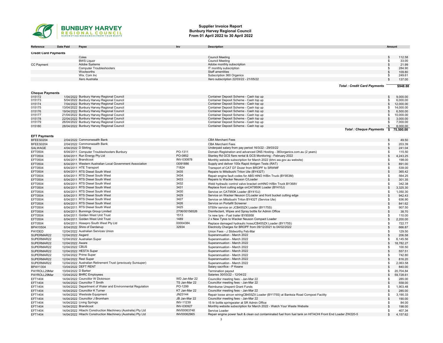

#### Supplier Invoice Report Bunbury Harvey Regional Council From 01 April 2022 to 30 April 2022

| Reference                   | Date Paid           | Payee                                                                                   | Inv           | <b>Description</b>                                                                                         | Amount         |                        |
|-----------------------------|---------------------|-----------------------------------------------------------------------------------------|---------------|------------------------------------------------------------------------------------------------------------|----------------|------------------------|
| <b>Credit Card Payments</b> |                     |                                                                                         |               |                                                                                                            |                |                        |
|                             |                     | Coles                                                                                   |               | <b>Council Meeting</b>                                                                                     | \$             | 112.58                 |
|                             |                     | <b>BWS Liquor</b>                                                                       |               | <b>Council Meeting</b>                                                                                     |                | 33.00                  |
| <b>CC Payment</b>           |                     | Adobe Systems                                                                           |               | Adobe monthly subscription                                                                                 | $\mathbf{s}$   | 21.99                  |
|                             |                     | <b>Computer Troubleshooters</b>                                                         |               | IT monthly subscription                                                                                    |                | 284.90                 |
|                             |                     | Woolworths                                                                              |               | Staff amentities                                                                                           | \$             | 109.80                 |
|                             |                     | Wix. Com Inc                                                                            |               | Subscription 360 Organics                                                                                  |                | 249.61                 |
|                             |                     | Xero Australia                                                                          |               | Xero subscription 22/03/22 - 21/05/22                                                                      | $\mathfrak{L}$ | 137.00                 |
|                             |                     |                                                                                         |               | <b>Total: Credit Card Payments</b>                                                                         |                | \$948.88               |
|                             |                     |                                                                                         |               |                                                                                                            |                |                        |
| <b>Cheque Payments</b>      |                     |                                                                                         |               |                                                                                                            |                |                        |
| 015172                      |                     | 1/04/2022 Bunbury Harvey Regional Council                                               |               | Container Deposit Scheme - Cash top up                                                                     | $\mathfrak{L}$ | 9.000.00               |
| 015173                      |                     | 5/04/2022 Bunbury Harvey Regional Council                                               |               | Container Deposit Scheme - Cash top up                                                                     |                | 6,000.00               |
| 015174<br>015175            |                     | 7/04/2022 Bunbury Harvey Regional Council<br>13/04/2022 Bunbury Harvey Regional Council |               | Container Deposit Scheme - Cash top up<br>Container Deposit Scheme - Cash top up                           | \$             | 12,000.00<br>14,000.00 |
| 015176                      |                     | 19/04/2022 Bunbury Harvey Regional Council                                              |               | Container Deposit Scheme - Cash top up                                                                     | \$             | 6,500.00               |
| 015177                      |                     | 21/04/2022 Bunbury Harvey Regional Council                                              |               | Container Deposit Scheme - Cash top up                                                                     |                | 10,000.00              |
| 015178                      |                     | 22/04/2022 Bunbury Harvey Regional Council                                              |               | Container Deposit Scheme - Cash top up                                                                     | \$             | 3,000.00               |
| 015179                      |                     | 26/04/2022 Bunbury Harvey Regional Council                                              |               | Container Deposit Scheme - Cash top up                                                                     |                | 7,000.00               |
| 015180                      |                     | 28/04/2022 Bunbury Harvey Regional Council                                              |               | Container Deposit Scheme - Cash top up                                                                     |                | 8,000.00               |
|                             |                     |                                                                                         |               | <b>Total: Cheque Payments</b>                                                                              | - \$           | 75,500.00              |
| <b>EFT Payments</b>         |                     |                                                                                         |               |                                                                                                            |                |                        |
| BFEES0204                   |                     | 2/04/2022 Commonwealth Bank                                                             |               | <b>CBA Merchant Fees</b>                                                                                   | \$             | 49.50                  |
| BFEES0204                   |                     | 2/04/2022 Commonwealth Bank                                                             |               | <b>CBA Merchant Fees</b>                                                                                   | \$             | 203.39                 |
| SALWAGE                     |                     | 4/04/2022 D Stirling                                                                    |               | Underpaid salary from pay period 16/3/22 - 29/03/22                                                        | \$             | 241.04                 |
| EFT0504                     |                     | 6/04/2011 Computer Troubleshooters Bunbury                                              | PO-1311       | Domain Registration and advanced DNS Hosting - 360organics.com.au (2 years)                                | \$             | 115.50                 |
| EFT0504                     |                     | 6/04/2011 Run Energy Pty Ltd                                                            | PO-0852       | Stanley Rd GCS flare rental & GCS Monitoring - February 2022                                               | $\mathfrak s$  | 4,243.25               |
| EFT0504                     |                     | 6/04/2011 Brandicoot                                                                    | INV-030878    | Monthly website subscription for March 2022 (bhrc.wa.gov.au website)                                       | \$             | 198.00                 |
| EFT0504                     |                     | 6/04/2011 Western Australian Local Government Association                               | 13091886      | Supply and deliver 100x Rapid Antigen Tests (RAT)                                                          | \$             | 891.00                 |
| EFT0504                     |                     | 6/04/2011 HTE Transport                                                                 | 71824         | Transport of CAT D7 Dozer from BROPF to SRWMF                                                              | \$             | 539.00                 |
| EFT0504                     |                     | 6/04/2011 RTS Diesel South West                                                         | 3435          | Repairs to Mitsibushi Triton Ute (BY432T)                                                                  | \$             | 365.42                 |
| EFT0504                     |                     | 6/04/2011 RTS Diesel South West                                                         | 3434          | Repair engine fault codes for ABS HINO H/Bin Truck (BY953M)                                                | \$             | 564.25                 |
| EFT0504                     |                     | 6/04/2011 RTS Diesel South West                                                         | 3433          | Repairs to Wacker Neuson C/Loader                                                                          | \$             | 301.35                 |
| EFT0504                     |                     | 6/04/2011 RTS Diesel South West                                                         | 3432          | Weld hydraulic control valve bracket onHINO H/Bin Truck BY368V                                             | \$             | 342.38                 |
| EFT0504                     |                     | 6/04/2011 RTS Diesel South West                                                         | 3431          | Replace front cutting edge onCAT950K Loader (BY410J)                                                       | \$             | 3,325.30               |
| EFT0504                     |                     | 6/04/2011 RTS Diesel South West                                                         | 3430          | Service on CAT950K Loader (BY410J)                                                                         | \$             | 1,050.30               |
| EFT0504                     |                     | 6/04/2011 RTS Diesel South West                                                         | 3429          | Service on Wacker Neuson C/Loader and front bucket cutting edge                                            | -\$            | 942.43                 |
| EFT0504                     |                     | 6/04/2011 RTS Diesel South West                                                         | 3427          | Service on Mitsibushi Triton BY432T (Service Ute)                                                          | \$             | 636.90                 |
| EFT0504                     |                     | 6/04/2011 RTS Diesel South West                                                         | 3426          | Service on Portafill Screener                                                                              | $\mathbf{s}$   | 841.62                 |
| EFT0504                     |                     | 6/04/2011 RTS Diesel South West                                                         | 3425          | 5750hr service on JCB455ZX Loader (BY175S)                                                                 | \$             | 907.50                 |
| EFT0504                     |                     | 6/04/2011 Bunnings Group Limited                                                        | 2706/00156526 | Disinfectant, Wipes and Spray bottle for Admin Office                                                      | $\mathfrak{s}$ | 38.70                  |
| EFT0504                     |                     | 6/04/2011 Golden West Unit Trust                                                        | 1513          | 1x new tyre - Fuel trailer BY85958                                                                         | \$             | 110.00                 |
| EFT0504                     |                     | 6/04/2011 Golden West Unit Trust                                                        | 1489          | 2 x New Tyres to Wacker Neuson Compact Loader                                                              | -\$            | 2,200.00               |
| EFT0504                     |                     | 6/04/2011 Hosepro South West Pty Ltd                                                    | 00004384      | Replace damaged hydraulic hoseJCB455ZX Loader (BY175S)                                                     | \$             | 722.77                 |
| <b>BPAY0504</b>             |                     | 6/04/2022 Shire of Dardanup                                                             | 32934         | Electricity Charges for BROPF from 09/12/2021 to 04/02/2022                                                | $\mathbf{s}$   | 666.87                 |
| PAYDED                      |                     | 12/04/2022 Australian Services Union                                                    |               | Union Fees - J Stidworthy Feb-Mar                                                                          | \$             | 129.50                 |
| SUPERMAR22                  | 12/04/2022 Asgard   |                                                                                         |               | Superannuation - March 2022                                                                                | \$             | 206.58                 |
| SUPERMAR22                  |                     | 12/04/2022 Australian Super                                                             |               | Superannuation - March 2022                                                                                | \$             | 6,145.56               |
| SUPERMAR22                  | 12/04/2022 Aware    |                                                                                         |               | Superannuation - March 2022                                                                                | \$             | 18,782.27              |
| SUPERMAR22                  | 12/04/2022 CBUS     |                                                                                         |               | Superannuation - March 2022                                                                                | -\$            | 100.50                 |
| SUPERMAR22                  |                     | 12/04/2022 HESTA Super                                                                  |               | Superannuation - March 2022                                                                                | $\mathbf{s}$   | 557.51                 |
| SUPERMAR22                  |                     | 12/04/2022 Prime Super                                                                  |               | Superannuation - March 2022                                                                                | \$             | 742.80                 |
| SUPERMAR22                  |                     | 12/04/2022 Rest Super                                                                   |               | Superannuation - March 2022                                                                                | $\mathbf{s}$   | 816.20                 |
| SUPERMAR22                  |                     | 12/04/2022 Australian Retirement Trust (previously Sunsuper)                            |               | Superannuation - March 2022                                                                                | \$             | 2,063.58               |
| <b>BPAY1304</b>             |                     | 13/04/2022 DEFT RENT                                                                    |               | Salary sacrifice - P Keane                                                                                 | \$             | 840.00                 |
| PAYROLL29Mar                | 13/04/2022 D Barker |                                                                                         |               | Termination payout                                                                                         | \$             | 20,704.84              |
| PAYROLL29Mar                |                     | 13/04/2022 BHRC Employees                                                               |               | Salaries 30/03/22 - 12/04/22                                                                               | \$             | 59,728.61              |
| EFT1404                     |                     | 14/04/2022 Councillor W Dickinson                                                       | WD Jan-Mar 22 | Councillor meeting fees - Jan-Mar 22                                                                       | \$             | 285.00                 |
| EFT1404                     |                     | 14/04/2022 Councillor T Smith                                                           | TS Jan-Mar 22 | Councillor meeting fees - Jan-Mar 22                                                                       | $\mathfrak s$  | 558.00                 |
| EFT1404                     |                     | 14/04/2022 Department of Water and Environmental Regulation                             | PO-1299       | Reimburse Unspent Grant Funds                                                                              | \$             | 1,903.48               |
| EFT1404                     |                     | 14/04/2022 Councillor K Turner                                                          | KT Jan-Mar 22 | Councillor meeting fees - Jan-Mar 22                                                                       | $\mathfrak s$  | 285.00                 |
| EFT1404                     |                     | 14/04/2022 Westside Equipment                                                           | JN23144       | Repair loose aircon wiringCB455ZX Loader (BY175S) at Banksia Road Compost Facility                         | \$             | 3,190.33               |
| EFT1404                     |                     | 14/04/2022 Councillor J Bromham                                                         | JB Jan-Mar 22 | Councillor meeting fees - Jan-Mar 22                                                                       | $\mathfrak{L}$ | 190.00                 |
| EFT1404                     |                     | 14/04/2022 Living Springs                                                               | INV-11239     | 15 Itr bottle springwater at SR Admin Office                                                               | \$             | 84.00                  |
| EFT1404                     |                     | 14/04/2022 Brandicoot                                                                   | INV-030927    | Monthly website subscription for March 2022 - Watch Your Waste Website                                     |                | 198.00                 |
| EFT1404                     |                     | 14/04/2022 Hitachi Construction Machinery (Australia) Pty Ltd                           | INV00063748   | Service Loader                                                                                             | \$             | 407.34                 |
| EFT1404                     |                     | 14/04/2022 Hitachi Construction Machinery (Australia) Pty Ltd                           | INV00062965   | Repair engine power fault & clean out contaminated fuel from fuel tank on HITACHI Front End Loader ZW220-5 | $\mathfrak{s}$ | 4,157.62               |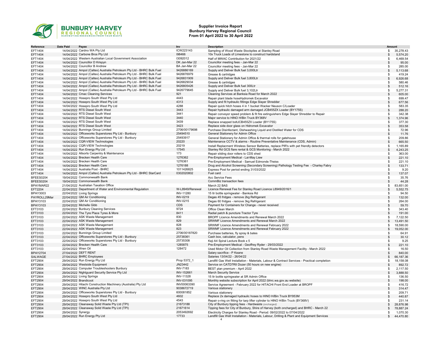

#### Supplier Invoice Report Bunbury Harvey Regional Council From 01 April 2022 to 30 April 2022

| Reference       | Date Paid             | Payee                                                                  | Inv              | <b>Description</b>                                                                            | Amount         |           |
|-----------------|-----------------------|------------------------------------------------------------------------|------------------|-----------------------------------------------------------------------------------------------|----------------|-----------|
| EFT1404         |                       | 14/04/2022 Cardno WA Pty Ltd                                           | ICW223143        | Sampling of Wood Waste Stockpiles at Stanley Road                                             |                | 35,278.43 |
|                 |                       |                                                                        | 198466           | 10x Truck Loads of Limestone to construct hardstand                                           | \$             |           |
| EFT1404         |                       | 14/04/2022 Carbone Bros Pty Ltd                                        |                  |                                                                                               | \$             | 5,574.20  |
| EFT1404         |                       | 14/04/2022 Western Australian Local Government Association             | 13092012         | Half of MWAC Contribution for 2021/22                                                         | \$.            | 6,469.54  |
| EFT1404         |                       | 14/04/2022 Councillor D Krispyn                                        | DK Jan-Mar 22    | Councillor meeting fees - Jan-Mar 22                                                          |                | 95.00     |
| EFT1404         |                       | 14/04/2022 Councillor B Andrew                                         | BA Jan-Mar 22    | Councillor meeting fees - Jan-Mar 22                                                          | \$.            | 285.00    |
| EFT1404         |                       | 14/04/2022 Ampol (Caltex) Australia Petroleum Pty Ltd - BHRC Bulk Fuel | 9426886169       | Supply and Deliver Bulk fuel 3,000Ltr                                                         | \$             | 5,113.68  |
| EFT1404         |                       | 14/04/2022 Ampol (Caltex) Australia Petroleum Pty Ltd - BHRC Bulk Fuel | 9426876979       | Grease & cartridges                                                                           |                | 419.24    |
| EFT1404         |                       | 14/04/2022 Ampol (Caltex) Australia Petroleum Pty Ltd - BHRC Bulk Fuel | 9426831909       | Supply and Deliver Bulk fuel 3,800Ltr                                                         | $\mathfrak{s}$ | 6,926.68  |
| EFT1404         |                       | 14/04/2022 Ampol (Caltex) Australia Petroleum Pty Ltd - BHRC Bulk Fuel | 9426829034       | Grease & cartridges                                                                           | \$             | 580.46    |
| EFT1404         |                       | 14/04/2022 Ampol (Caltex) Australia Petroleum Pty Ltd - BHRC Bulk Fuel | 9426805426       | Supply and Deliver Bulk fuel 300Ltr                                                           |                | 512.16    |
|                 |                       |                                                                        |                  |                                                                                               |                |           |
| EFT1404         |                       | 14/04/2022 Ampol (Caltex) Australia Petroleum Pty Ltd - BHRC Bulk Fuel | 9426779645       | Supply and Deliver Bulk fuel 3,102Ltr                                                         | \$.            | 5,277.31  |
| EFT1404         |                       | 14/04/2022 Cmac Cleaning Services                                      | 921              | Cleaning Services at Banksia Road for March 2022                                              | \$             | 605.00    |
| EFT1404         |                       | 14/04/2022 Hosepro South West Pty Ltd                                  | 4443             | Repair plant blade hoseHydromek Excavator                                                     |                | 699.47    |
| EFT1404         |                       | 14/04/2022 Hosepro South West Pty Ltd                                  | 4313             | Supply and fit hydraulic fittings Edge Slayer Shredder                                        |                | 677.56    |
| EFT1404         |                       | 14/04/2022 Hosepro South West Pty Ltd                                  | 4288             | Repair quick hitch hoses 4 in 1 bucket Wacker Neuson C/Loader                                 | \$             | 583.35    |
| EFT1404         |                       | 14/04/2022 RTS Diesel South West                                       | 3443             | Repair hydraulic damaged arm damaged JCB455ZX Loader (BY175S)                                 |                | 288.20    |
| EFT1404         |                       | 14/04/2022 RTS Diesel South West                                       | 3441             | Repair conveyor speed problem & fit fire extinguishers Edge Slayer Shredder to Repair         | \$.            | 342.38    |
| EFT1404         |                       | 14/04/2022 RTS Diesel South West                                       | 3440             | Major service to HINO H/Bin Truck BY368V                                                      |                | 1,374.96  |
| EFT1404         |                       | 14/04/2022 RTS Diesel South West                                       | 3439             |                                                                                               |                |           |
|                 |                       |                                                                        |                  | Replace snapped boltJCB455ZX Loader (BY175S)                                                  |                | 377.30    |
| EFT1404         |                       | 14/04/2022 RTS Diesel South West                                       | 3423             | Replace side door glass on Hidromek Excavator                                                 |                | 353.58    |
| EFT1404         |                       | 14/04/2022 Bunnings Group Limited                                      | 2706/00179698    | Purchase Disinfectant, Dishwashing Liquid and Distilled Water for CDS                         | \$             | 72.96     |
| EFT1404         |                       | 14/04/2022 Officeworks Superstores Pty Ltd - Bunbury                   | 25494510         | General Stationery for Admin Office                                                           | $\mathfrak{s}$ | 11.76     |
| EFT1404         |                       | 14/04/2022 Officeworks Superstores Pty Ltd - Bunbury                   | 25493917         | General Stationery for Admin Office & thermal rolls for gatehouse                             | \$             | 209.86    |
| EFT1404         |                       | 14/04/2022 CQR-VIEW Technologies                                       | 20220            | Maintenance CCTV & alarms - Routine Preventative Maintenance (CDS, Admin)                     | -96            | 665.50    |
| EFT1404         |                       | 14/04/2022 CQR-VIEW Technologies                                       | 20219            | Install Replacment Wireless Sensor Batteries, replace PIR's with pet friendly detectors       | \$             | 1,165.89  |
| EFT1404         |                       | 14/04/2022 Run Energy Pty Ltd                                          | 17545            | Stanley Rd GCS flare rental & GCS Monitoring - March 2022                                     | $\mathfrak{L}$ | 4,243.25  |
|                 |                       | 14/04/2022 Allsorts Carpentry & Maintenance                            | 173              |                                                                                               |                |           |
| EFT1404         |                       |                                                                        |                  | Repair sliding door rollers to CDS shed                                                       | \$             | 363.00    |
| EFT1404         |                       | 14/04/2022 Brecken Health Care                                         | 1276362          | Pre-Employment Medical - Lai-May Liew                                                         |                | 221.10    |
| EFT1404         |                       | 14/04/2022 Brecken Health Care                                         | 1276361          | Pre-Employment Medical - Samuel Edmonds-Theiss                                                | \$.            | 221.10    |
| EFT1404         |                       | 14/04/2022 Brecken Health Care                                         | 1276188          | Drug and Alcohol Screening (Secondary Screening) Pathology Testing Fee - Charley Fabry        |                | 133.71    |
| EFT1404         |                       | 14/04/2022 Australia Post - BHRC                                       | 1011426825       | Express Post for period ending 31/03/2022                                                     |                | 9.20      |
| EFT1404         |                       | 14/04/2022 Ampol (Caltex) Australia Petroleum Pty Ltd - BHRC StarCard  | 0302020802       | Fuel card                                                                                     |                | 137.07    |
| BFEES0204       |                       | 19/04/2022 Commonwealth Bank                                           |                  | Acc Service Fees                                                                              | \$             | 35.76     |
| BFEES0204       |                       | 19/04/2022 Commonwealth Bank                                           |                  | CommBiz transaction fees                                                                      | $\mathbf{s}$   | 44.28     |
|                 |                       | 21/04/2022 Australian Taxation Office                                  |                  |                                                                                               |                |           |
| BPAYMAR22       |                       |                                                                        |                  | March 22 BAS                                                                                  | \$             | 83,651.00 |
| EFT2204         |                       | 22/04/2022 Department of Water and Environmental Regulation            | W-L8949/Renewal  | Licence Renewal Fee for Stanley Road Licence L8949/2016/1                                     | \$             | 5,552.75  |
| <b>BPAY3003</b> |                       | 22/04/2022 Living Springs                                              | INV-11280        | 15 Itr bottle springwater - Banksia Rd                                                        |                | 94.50     |
| PAYROLL29Mar    |                       | 22/04/2022 QM Air Conditioning                                         | INV-0219         | Degas 45 fridges - remove 2kg Refrigerant                                                     |                | 132.00    |
| <b>BPAY3103</b> |                       | 22/04/2022 QM Air Conditioning                                         | INV-0215         | Degas 60 fridges - remove 3kg Refrigerant                                                     |                | 264.00    |
| <b>BPAY3103</b> |                       | 22/04/2022 Michelle Gibb                                               | <b>CDS</b>       | Payment for Containers for Change - never received                                            |                | 59.70     |
| EFT3103         |                       | 22/04/2022 Bunbury Cleaning Services                                   | 9724             | Office Clean March                                                                            |                | 343.40    |
| EFT3103         |                       | 22/04/2022 The Tyre Place Tyres & More                                 | 8411             | Radial patch & puncture Tractor Tyre                                                          |                | 191.00    |
|                 |                       | 22/04/2022 ASK Waste Management                                        | 830              |                                                                                               |                |           |
| EFT3103         |                       |                                                                        | 829              | BROPF Licence Amendments and Renewal March 2022                                               | \$.            | 7,122.50  |
| EFT3103         |                       | 22/04/2022 ASK Waste Management                                        |                  | SRWMF Licence Amendments and Renewal March 2022                                               | $\mathfrak{s}$ | 13,491.50 |
| EFT3103         |                       | 22/04/2022 ASK Waste Management                                        | 828              | SRWMF Licence Amendments and Renewal February 2022                                            | \$             | 18,590.00 |
| EFT3103         |                       | 22/04/2022 ASK Waste Management                                        | 823              | SRWMF Licence Amendments and Renewal February 2022                                            | $\mathfrak{s}$ | 19,052.00 |
| EFT3103         |                       | 22/04/2022 Bunnings Group Limited                                      | 2706/00187820    | Purchase batteries, fly spray & bates                                                         | \$.            | 64.91     |
| EFT3103         |                       | 22/04/2022 Officeworks Superstores Pty Ltd - Bunbury                   | 25738361         | Cash box, calculator, pens                                                                    | $\mathcal{F}$  | 30.12     |
| EFT3103         |                       | 22/04/2022 Officeworks Superstores Pty Ltd - Bunbury                   | 25735308         | Keji A4 Spiral Lecture Book x 5                                                               |                | 9.25      |
| EFT3103         |                       | 22/04/2022 Brecken Health Care                                         | 1285875          | Pre-Employment Medical - Geoffrey Ryder - 29/03/2022                                          | \$             | 221.10    |
| EFT3103         | 22/04/2022 Wren Oil   |                                                                        | 128472           | Used Motor Oil Collection from Stanley Road Waste Management Facility - March 2022            |                | 16.50     |
|                 |                       |                                                                        |                  |                                                                                               |                |           |
| <b>BPAY2704</b> |                       | 27/04/2022 DEFT RENT                                                   |                  | Salary sacrifice - P Keane                                                                    |                | 840.00    |
| SALWAGE         |                       | 27/04/2022 BHRC Employees                                              |                  | Salaries 13/04/22 - 26/04/22                                                                  | \$             | 66,187.36 |
| EFT2904         |                       | 29/04/2022 Run Energy Pty Ltd                                          | Prop 5372 1      | Landfill Gas Well Installation - Materials, Labour & Contract Services - Practical completion | \$             | 18,158.08 |
| EFT2904         |                       | 29/04/2022 Westside Equipment                                          | JN23442          | Service on CATD7RII Dozer (50 hours on new engine)                                            |                | 892.72    |
| EFT2904         |                       | 29/04/2022 Computer Troubleshooters Bunbury                            | <b>INV-7183</b>  | BEST plan premium - April 2022                                                                | \$             | 2,117.50  |
| EFT2904         |                       | 29/04/2022 Nightguard Security Service Pty Ltd                         | INV-152661       | <b>March Security Service</b>                                                                 | \$             | 3,888.50  |
| EFT2904         |                       | 29/04/2022 Living Springs                                              | <b>INV-11328</b> | 15 Itr bottle springwater at SR Admin Office                                                  | £.             | 136.50    |
| EFT2904         | 29/04/2022 Brandicoot |                                                                        | INV-031095       | Monthly website subscription for April 2022 (bhrc.wa.gov.au website)                          | \$             | 198.00    |
|                 |                       |                                                                        |                  |                                                                                               |                |           |
| EFT2904         |                       | 29/04/2022 Hitachi Construction Machinery (Australia) Pty Ltd          | INV00063390      | Service Agreement - February 2022 for HITACHI Front End Loader at BROPF                       | \$             | 416.72    |
| EFT2904         |                       | 29/04/2022 WINC Australia Pty Ltd                                      | 9038672719       | Various stationery                                                                            | \$             | 314.47    |
| EFT2904         |                       | 29/04/2022 Officeworks Superstores Pty Ltd - Bunbury                   | 600081852        | Various stationery                                                                            |                | 209.71    |
| EFT2904         |                       | 29/04/2022 Hosepro South West Pty Ltd                                  | 4602             | Replace 2x damaged hydraulic hoses to HINO H/Bin Truck BY953M                                 |                | 440.87    |
| EFT2904         |                       | 29/04/2022 Hosepro South West Pty Ltd                                  | 4543             | Repair o-ring on fitting for tarp lifter cylinder to HINO H/Bin Truck (BY368V)                |                | 231.14    |
| EFT2904         |                       | 29/04/2022 Cleanaway Solid Waste Pty Ltd (TPI)                         | 21673188         | City of Bunbury tipping fees - Hardwaste (oncharged)                                          | \$             | 28,876.98 |
| EFT2904         |                       | 29/04/2022 Cleanaway Solid Waste Pty Ltd (TPI)                         | 21671614         | Tipping fees for City of Bunbury, Shire of Harvey (both oncharged) and BHRC - March 22        |                | 78,887.24 |
| EFT2904         | 29/04/2022 Synergy    |                                                                        | 2053492692       | Electricity Charges for Stanley Road - Period: 09/02/2022 to 07/04/2022                       | -96            | 1,070.30  |
|                 |                       |                                                                        | 17733            |                                                                                               |                |           |
| EFT2904         |                       | 29/04/2022 Run Energy Pty Ltd                                          |                  | Landfill Gas Well Installation - Materials, Labour, Drilling & Plant and Equipment Services   | \$             | 44,470.80 |